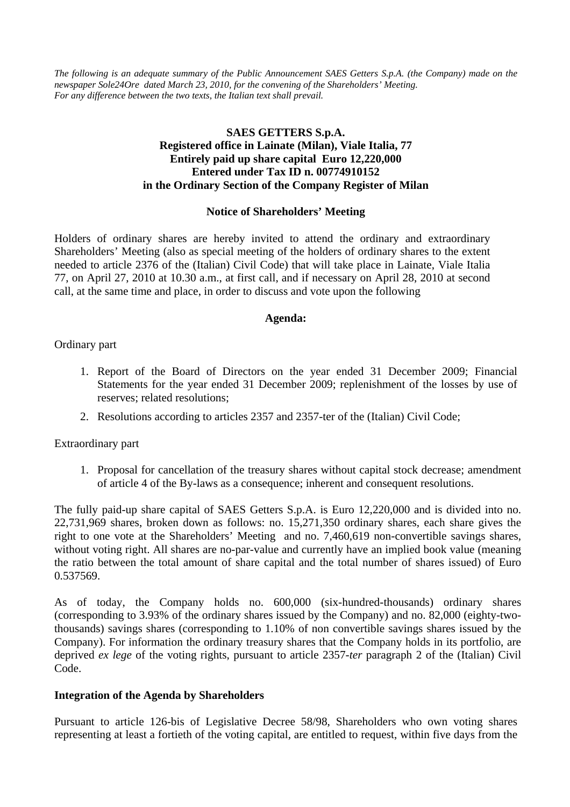*The following is an adequate summary of the Public Announcement SAES Getters S.p.A. (the Company) made on the newspaper Sole24Ore dated March 23, 2010, for the convening of the Shareholders' Meeting. For any difference between the two texts, the Italian text shall prevail.* 

# **SAES GETTERS S.p.A. Registered office in Lainate (Milan), Viale Italia, 77 Entirely paid up share capital Euro 12,220,000 Entered under Tax ID n. 00774910152 in the Ordinary Section of the Company Register of Milan**

### **Notice of Shareholders' Meeting**

Holders of ordinary shares are hereby invited to attend the ordinary and extraordinary Shareholders' Meeting (also as special meeting of the holders of ordinary shares to the extent needed to article 2376 of the (Italian) Civil Code) that will take place in Lainate, Viale Italia 77, on April 27, 2010 at 10.30 a.m., at first call, and if necessary on April 28, 2010 at second call, at the same time and place, in order to discuss and vote upon the following

### **Agenda:**

#### Ordinary part

- 1. Report of the Board of Directors on the year ended 31 December 2009; Financial Statements for the year ended 31 December 2009; replenishment of the losses by use of reserves; related resolutions;
- 2. Resolutions according to articles 2357 and 2357-ter of the (Italian) Civil Code;

### Extraordinary part

1. Proposal for cancellation of the treasury shares without capital stock decrease; amendment of article 4 of the By-laws as a consequence; inherent and consequent resolutions.

The fully paid-up share capital of SAES Getters S.p.A. is Euro 12,220,000 and is divided into no. 22,731,969 shares, broken down as follows: no. 15,271,350 ordinary shares, each share gives the right to one vote at the Shareholders' Meeting and no. 7,460,619 non-convertible savings shares, without voting right. All shares are no-par-value and currently have an implied book value (meaning the ratio between the total amount of share capital and the total number of shares issued) of Euro 0.537569.

As of today, the Company holds no. 600,000 (six-hundred-thousands) ordinary shares (corresponding to 3.93% of the ordinary shares issued by the Company) and no. 82,000 (eighty-twothousands) savings shares (corresponding to 1.10% of non convertible savings shares issued by the Company). For information the ordinary treasury shares that the Company holds in its portfolio, are deprived *ex lege* of the voting rights, pursuant to article 2357*-ter* paragraph 2 of the (Italian) Civil Code.

#### **Integration of the Agenda by Shareholders**

Pursuant to article 126-bis of Legislative Decree 58/98, Shareholders who own voting shares representing at least a fortieth of the voting capital, are entitled to request, within five days from the